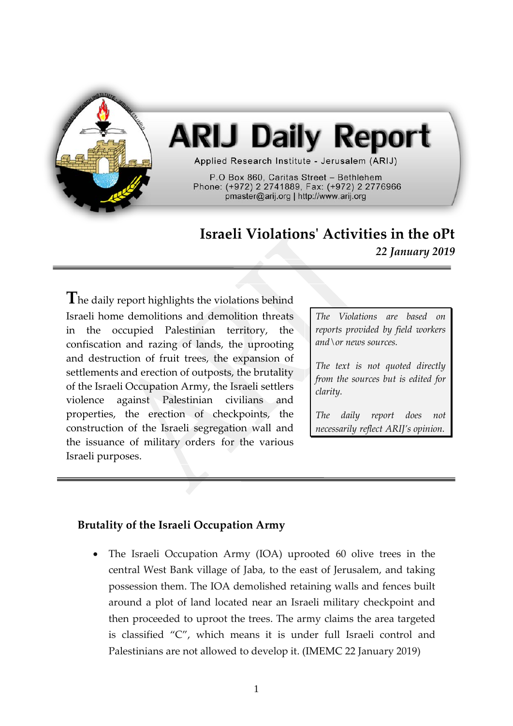

# **ARIJ Daily Report**

Applied Research Institute - Jerusalem (ARIJ)

P.O Box 860, Caritas Street - Bethlehem Phone: (+972) 2 2741889, Fax: (+972) 2 2776966 pmaster@arij.org | http://www.arij.org

# **Israeli Violations' Activities in the oPt** *22 January 2019*

**T**he daily report highlights the violations behind Israeli home demolitions and demolition threats in the occupied Palestinian territory, the confiscation and razing of lands, the uprooting and destruction of fruit trees, the expansion of settlements and erection of outposts, the brutality of the Israeli Occupation Army, the Israeli settlers violence against Palestinian civilians and properties, the erection of checkpoints, the construction of the Israeli segregation wall and the issuance of military orders for the various Israeli purposes.

*The Violations are based on reports provided by field workers and\or news sources.*

*The text is not quoted directly from the sources but is edited for clarity.*

*The daily report does not necessarily reflect ARIJ's opinion.*

# **Brutality of the Israeli Occupation Army**

• The Israeli Occupation Army (IOA) uprooted 60 olive trees in the central West Bank village of Jaba, to the east of Jerusalem, and taking possession them. The IOA demolished retaining walls and fences built around a plot of land located near an Israeli military checkpoint and then proceeded to uproot the trees. The army claims the area targeted is classified "C", which means it is under full Israeli control and Palestinians are not allowed to develop it. (IMEMC 22 January 2019)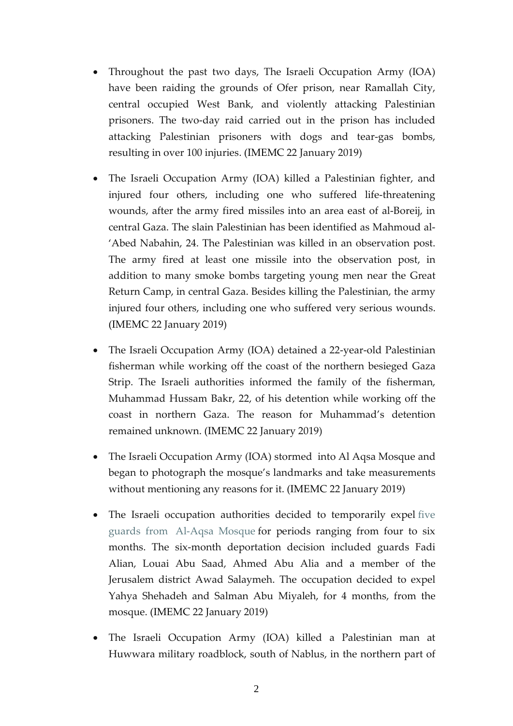- Throughout the past two days, The Israeli Occupation Army (IOA) have been raiding the grounds of Ofer prison, near Ramallah City, central occupied West Bank, and violently attacking Palestinian prisoners. The two-day raid carried out in the prison has included attacking Palestinian prisoners with dogs and tear-gas bombs, resulting in over 100 injuries. (IMEMC 22 January 2019)
- The Israeli Occupation Army (IOA) killed a Palestinian fighter, and injured four others, including one who suffered life-threatening wounds, after the army fired missiles into an area east of al-Boreij, in central Gaza. The slain Palestinian has been identified as Mahmoud al- 'Abed Nabahin, 24. The Palestinian was killed in an observation post. The army fired at least one missile into the observation post, in addition to many smoke bombs targeting young men near the Great Return Camp, in central Gaza. Besides killing the Palestinian, the army injured four others, including one who suffered very serious wounds. (IMEMC 22 January 2019)
- The Israeli Occupation Army (IOA) detained a 22-year-old Palestinian fisherman while working off the coast of the northern besieged Gaza Strip. The Israeli authorities informed the family of the fisherman, Muhammad Hussam Bakr, 22, of his detention while working off the coast in northern Gaza. The reason for Muhammad's detention remained unknown. (IMEMC 22 January 2019)
- The Israeli Occupation Army (IOA) stormed into Al Aqsa Mosque and began to photograph the mosque's landmarks and take measurements without mentioning any reasons for it. (IMEMC 22 January 2019)
- The Israeli occupation authorities decided to temporarily expel [five](http://imemc.org/article/army-denies-five-aqsa-mosque-guards-fateh-official-access-to-the-holy-site-for-4-6-months/)  guards from [Al-Aqsa Mosque](http://imemc.org/article/army-denies-five-aqsa-mosque-guards-fateh-official-access-to-the-holy-site-for-4-6-months/) for periods ranging from four to six months. The six-month deportation decision included guards Fadi Alian, Louai Abu Saad, Ahmed Abu Alia and a member of the Jerusalem district Awad Salaymeh. The occupation decided to expel Yahya Shehadeh and Salman Abu Miyaleh, for 4 months, from the mosque. (IMEMC 22 January 2019)
- The Israeli Occupation Army (IOA) killed a Palestinian man at Huwwara military roadblock, south of Nablus, in the northern part of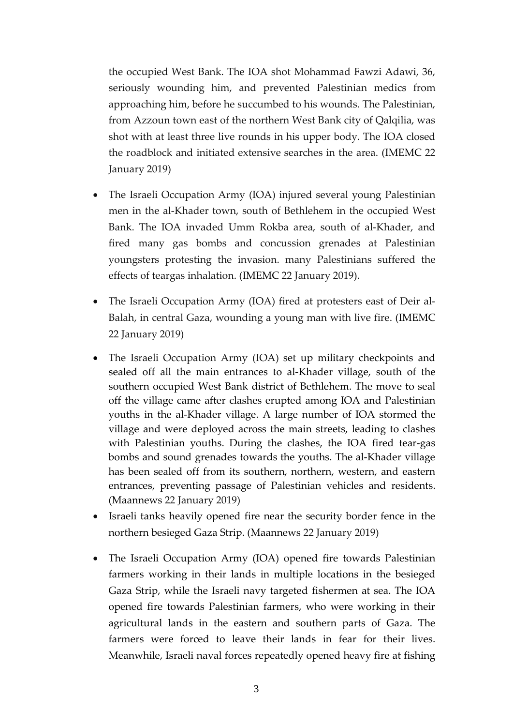the occupied West Bank. The IOA shot Mohammad Fawzi Adawi, 36, seriously wounding him, and prevented Palestinian medics from approaching him, before he succumbed to his wounds. The Palestinian, from Azzoun town east of the northern West Bank city of Qalqilia, was shot with at least three live rounds in his upper body. The IOA closed the roadblock and initiated extensive searches in the area. (IMEMC 22 January 2019)

- The Israeli Occupation Army (IOA) injured several young Palestinian men in the al-Khader town, south of Bethlehem in the occupied West Bank. The IOA invaded Umm Rokba area, south of al-Khader, and fired many gas bombs and concussion grenades at Palestinian youngsters protesting the invasion. many Palestinians suffered the effects of teargas inhalation. (IMEMC 22 January 2019).
- The Israeli Occupation Army (IOA) fired at protesters east of Deir al-Balah, in central Gaza, wounding a young man with live fire. (IMEMC 22 January 2019)
- The Israeli Occupation Army (IOA) set up military checkpoints and sealed off all the main entrances to al-Khader village, south of the southern occupied West Bank district of Bethlehem. The move to seal off the village came after clashes erupted among IOA and Palestinian youths in the al-Khader village. A large number of IOA stormed the village and were deployed across the main streets, leading to clashes with Palestinian youths. During the clashes, the IOA fired tear-gas bombs and sound grenades towards the youths. The al-Khader village has been sealed off from its southern, northern, western, and eastern entrances, preventing passage of Palestinian vehicles and residents. (Maannews 22 January 2019)
- Israeli tanks heavily opened fire near the security border fence in the northern besieged Gaza Strip. (Maannews 22 January 2019)
- The Israeli Occupation Army (IOA) opened fire towards Palestinian farmers working in their lands in multiple locations in the besieged Gaza Strip, while the Israeli navy targeted fishermen at sea. The IOA opened fire towards Palestinian farmers, who were working in their agricultural lands in the eastern and southern parts of Gaza. The farmers were forced to leave their lands in fear for their lives. Meanwhile, Israeli naval forces repeatedly opened heavy fire at fishing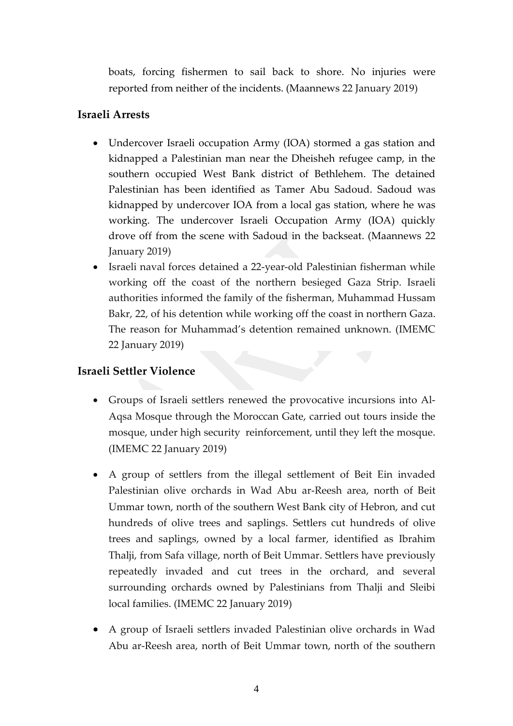boats, forcing fishermen to sail back to shore. No injuries were reported from neither of the incidents. (Maannews 22 January 2019)

## **Israeli Arrests**

- Undercover Israeli occupation Army (IOA) stormed a gas station and kidnapped a Palestinian man near the Dheisheh refugee camp, in the southern occupied West Bank district of Bethlehem. The detained Palestinian has been identified as Tamer Abu Sadoud. Sadoud was kidnapped by undercover IOA from a local gas station, where he was working. The undercover Israeli Occupation Army (IOA) quickly drove off from the scene with Sadoud in the backseat. (Maannews 22 January 2019)
- Israeli naval forces detained a 22-year-old Palestinian fisherman while working off the coast of the northern besieged Gaza Strip. Israeli authorities informed the family of the fisherman, Muhammad Hussam Bakr, 22, of his detention while working off the coast in northern Gaza. The reason for Muhammad's detention remained unknown. (IMEMC 22 January 2019)

# **Israeli Settler Violence**

- Groups of Israeli settlers renewed the provocative incursions into Al-Aqsa Mosque through the Moroccan Gate, carried out tours inside the mosque, under high security reinforcement, until they left the mosque. (IMEMC 22 January 2019)
- A group of settlers from the illegal settlement of Beit Ein invaded Palestinian olive orchards in Wad Abu ar-Reesh area, north of Beit Ummar town, north of the southern West Bank city of Hebron, and cut hundreds of olive trees and saplings. Settlers cut hundreds of olive trees and saplings, owned by a local farmer, identified as Ibrahim Thalji, from Safa village, north of Beit Ummar. Settlers have previously repeatedly invaded and cut trees in the orchard, and several surrounding orchards owned by Palestinians from Thalji and Sleibi local families. (IMEMC 22 January 2019)
- A group of Israeli settlers invaded Palestinian olive orchards in Wad Abu ar-Reesh area, north of Beit Ummar town, north of the southern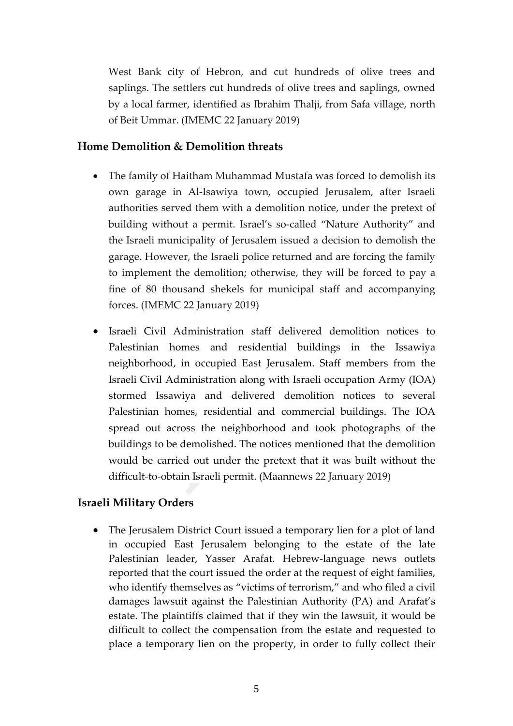West Bank city of Hebron, and cut hundreds of olive trees and saplings. The settlers cut hundreds of olive trees and saplings, owned by a local farmer, identified as Ibrahim Thalji, from Safa village, north of Beit Ummar. (IMEMC 22 January 2019)

#### **Home Demolition & Demolition threats**

- The family of Haitham Muhammad Mustafa was forced to demolish its own garage in Al-Isawiya town, occupied Jerusalem, after Israeli authorities served them with a demolition notice, under the pretext of building without a permit. Israel's so-called "Nature Authority" and the Israeli municipality of Jerusalem issued a decision to demolish the garage. However, the Israeli police returned and are forcing the family to implement the demolition; otherwise, they will be forced to pay a fine of 80 thousand shekels for municipal staff and accompanying forces. (IMEMC 22 January 2019)
- Israeli Civil Administration staff delivered demolition notices to Palestinian homes and residential buildings in the Issawiya neighborhood, in occupied East Jerusalem. Staff members from the Israeli Civil Administration along with Israeli occupation Army (IOA) stormed Issawiya and delivered demolition notices to several Palestinian homes, residential and commercial buildings. The IOA spread out across the neighborhood and took photographs of the buildings to be demolished. The notices mentioned that the demolition would be carried out under the pretext that it was built without the difficult-to-obtain Israeli permit. (Maannews 22 January 2019)

### **Israeli Military Orders**

• The Jerusalem District Court issued a temporary lien for a plot of land in occupied East Jerusalem belonging to the estate of the late Palestinian leader, Yasser Arafat. Hebrew-language news outlets reported that the court issued the order at the request of eight families, who identify themselves as "victims of terrorism," and who filed a civil damages lawsuit against the Palestinian Authority (PA) and Arafat's estate. The plaintiffs claimed that if they win the lawsuit, it would be difficult to collect the compensation from the estate and requested to place a temporary lien on the property, in order to fully collect their